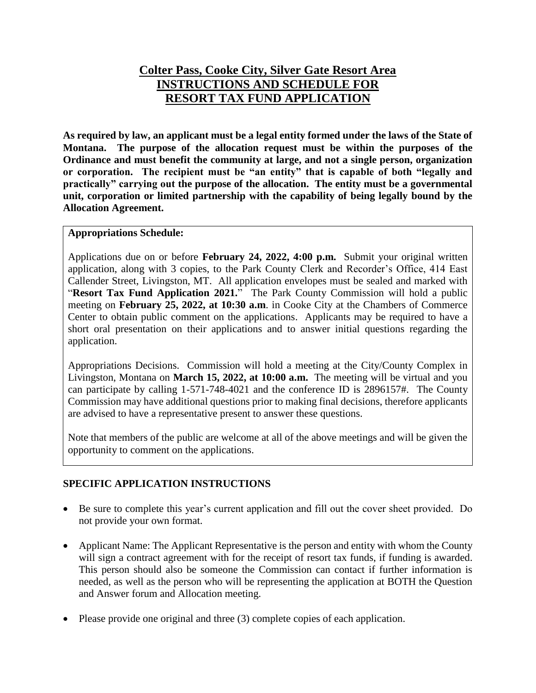## **Colter Pass, Cooke City, Silver Gate Resort Area INSTRUCTIONS AND SCHEDULE FOR RESORT TAX FUND APPLICATION**

**As required by law, an applicant must be a legal entity formed under the laws of the State of Montana. The purpose of the allocation request must be within the purposes of the Ordinance and must benefit the community at large, and not a single person, organization or corporation. The recipient must be "an entity" that is capable of both "legally and practically" carrying out the purpose of the allocation. The entity must be a governmental unit, corporation or limited partnership with the capability of being legally bound by the Allocation Agreement.**

#### **Appropriations Schedule:**

Applications due on or before **February 24, 2022, 4:00 p.m.** Submit your original written application, along with 3 copies, to the Park County Clerk and Recorder's Office, 414 East Callender Street, Livingston, MT. All application envelopes must be sealed and marked with "**Resort Tax Fund Application 2021.**" The Park County Commission will hold a public meeting on **February 25, 2022, at 10:30 a.m**. in Cooke City at the Chambers of Commerce Center to obtain public comment on the applications. Applicants may be required to have a short oral presentation on their applications and to answer initial questions regarding the application.

Appropriations Decisions. Commission will hold a meeting at the City/County Complex in Livingston, Montana on **March 15, 2022, at 10:00 a.m.** The meeting will be virtual and you can participate by calling 1-571-748-4021 and the conference ID is 2896157#. The County Commission may have additional questions prior to making final decisions, therefore applicants are advised to have a representative present to answer these questions.

Note that members of the public are welcome at all of the above meetings and will be given the opportunity to comment on the applications.

### **SPECIFIC APPLICATION INSTRUCTIONS**

- Be sure to complete this year's current application and fill out the cover sheet provided. Do not provide your own format.
- Applicant Name: The Applicant Representative is the person and entity with whom the County will sign a contract agreement with for the receipt of resort tax funds, if funding is awarded. This person should also be someone the Commission can contact if further information is needed, as well as the person who will be representing the application at BOTH the Question and Answer forum and Allocation meeting.
- Please provide one original and three (3) complete copies of each application.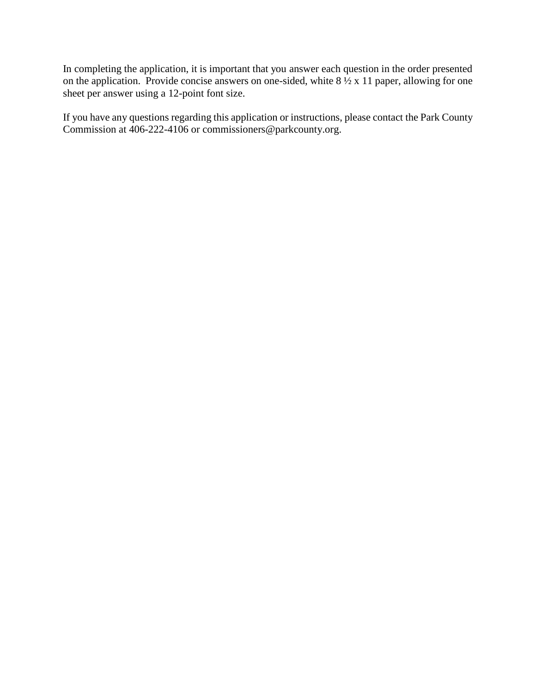In completing the application, it is important that you answer each question in the order presented on the application. Provide concise answers on one-sided, white  $8\frac{1}{2} \times 11$  paper, allowing for one sheet per answer using a 12-point font size.

If you have any questions regarding this application or instructions, please contact the Park County Commission at 406-222-4106 or commissioners@parkcounty.org.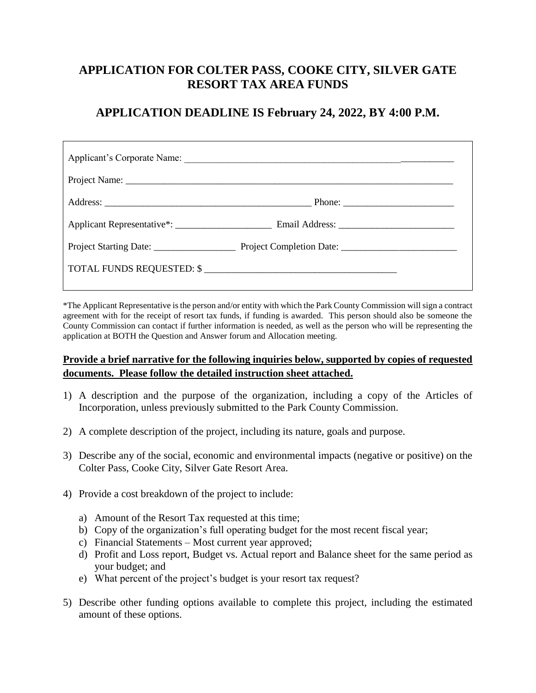# **APPLICATION FOR COLTER PASS, COOKE CITY, SILVER GATE RESORT TAX AREA FUNDS**

### **APPLICATION DEADLINE IS February 24, 2022, BY 4:00 P.M.**

| TOTAL FUNDS REQUESTED: \$ |  |
|---------------------------|--|
|                           |  |

\*The Applicant Representative is the person and/or entity with which the Park County Commission will sign a contract agreement with for the receipt of resort tax funds, if funding is awarded. This person should also be someone the County Commission can contact if further information is needed, as well as the person who will be representing the application at BOTH the Question and Answer forum and Allocation meeting.

### **Provide a brief narrative for the following inquiries below, supported by copies of requested documents. Please follow the detailed instruction sheet attached.**

- 1) A description and the purpose of the organization, including a copy of the Articles of Incorporation, unless previously submitted to the Park County Commission.
- 2) A complete description of the project, including its nature, goals and purpose.
- 3) Describe any of the social, economic and environmental impacts (negative or positive) on the Colter Pass, Cooke City, Silver Gate Resort Area.
- 4) Provide a cost breakdown of the project to include:
	- a) Amount of the Resort Tax requested at this time;
	- b) Copy of the organization's full operating budget for the most recent fiscal year;
	- c) Financial Statements Most current year approved;
	- d) Profit and Loss report, Budget vs. Actual report and Balance sheet for the same period as your budget; and
	- e) What percent of the project's budget is your resort tax request?
- 5) Describe other funding options available to complete this project, including the estimated amount of these options.